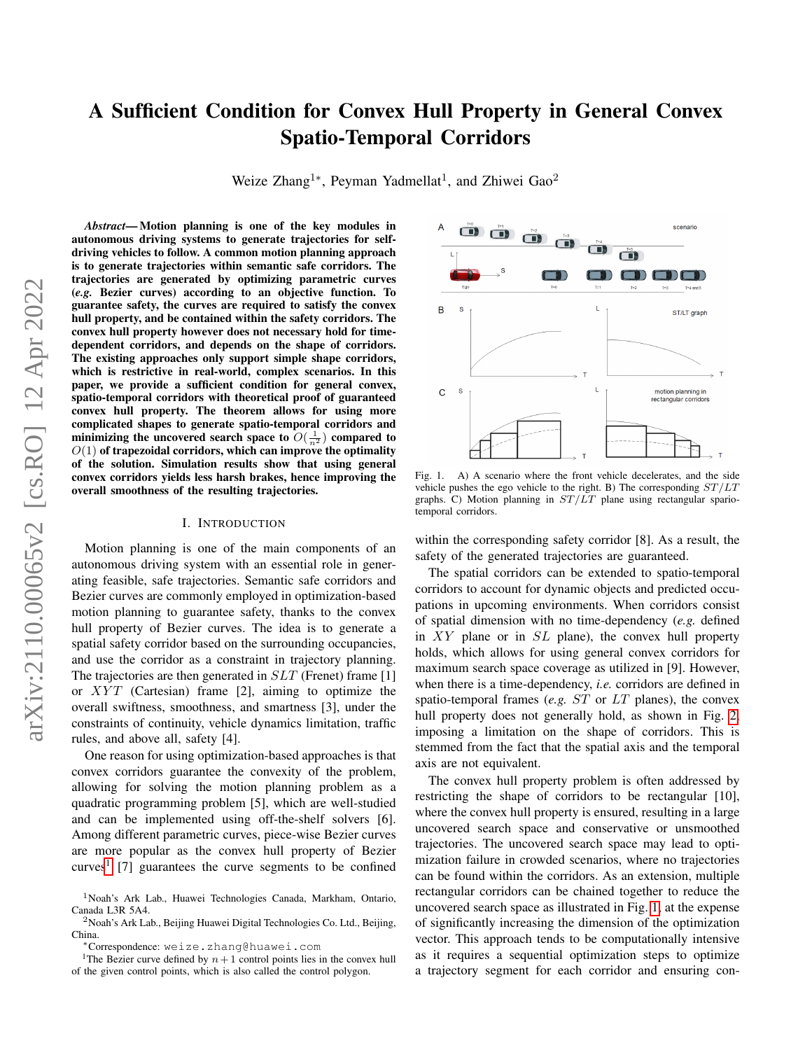# A Sufficient Condition for Convex Hull Property in General Convex Spatio-Temporal Corridors

Weize Zhang<sup>1</sup>\*, Peyman Yadmellat<sup>1</sup>, and Zhiwei Gao<sup>2</sup>

*Abstract*— Motion planning is one of the key modules in autonomous driving systems to generate trajectories for selfdriving vehicles to follow. A common motion planning approach is to generate trajectories within semantic safe corridors. The trajectories are generated by optimizing parametric curves (*e.g.* Bezier curves) according to an objective function. To guarantee safety, the curves are required to satisfy the convex hull property, and be contained within the safety corridors. The convex hull property however does not necessary hold for timedependent corridors, and depends on the shape of corridors. The existing approaches only support simple shape corridors, which is restrictive in real-world, complex scenarios. In this paper, we provide a sufficient condition for general convex, spatio-temporal corridors with theoretical proof of guaranteed convex hull property. The theorem allows for using more complicated shapes to generate spatio-temporal corridors and minimizing the uncovered search space to  $O(\frac{1}{n^2})$  compared to  $O(1)$  of trapezoidal corridors, which can improve the optimality of the solution. Simulation results show that using general convex corridors yields less harsh brakes, hence improving the overall smoothness of the resulting trajectories.

## I. INTRODUCTION

Motion planning is one of the main components of an autonomous driving system with an essential role in generating feasible, safe trajectories. Semantic safe corridors and Bezier curves are commonly employed in optimization-based motion planning to guarantee safety, thanks to the convex hull property of Bezier curves. The idea is to generate a spatial safety corridor based on the surrounding occupancies, and use the corridor as a constraint in trajectory planning. The trajectories are then generated in *SLT* (Frenet) frame [1] or  $XYT$  (Cartesian) frame [2], aiming to optimize the overall swiftness, smoothness, and smartness [3], under the constraints of continuity, vehicle dynamics limitation, traffic rules, and above all, safety [4].

One reason for using optimization-based approaches is that convex corridors guarantee the convexity of the problem, allowing for solving the motion planning problem as a quadratic programming problem [5], which are well-studied and can be implemented using off-the-shelf solvers [6]. Among different parametric curves, piece-wise Bezier curves are more popular as the convex hull property of Bezier curves<sup>[1](#page-0-0)</sup> [7] guarantees the curve segments to be confined



<span id="page-0-1"></span>Fig. 1. A) A scenario where the front vehicle decelerates, and the side vehicle pushes the ego vehicle to the right. B) The corresponding  $ST/LT$ graphs. C) Motion planning in  $ST/LT$  plane using rectangular spariotemporal corridors.

within the corresponding safety corridor [8]. As a result, the safety of the generated trajectories are guaranteed.

The spatial corridors can be extended to spatio-temporal corridors to account for dynamic objects and predicted occupations in upcoming environments. When corridors consist of spatial dimension with no time-dependency (*e.g.* defined in  $XY$  plane or in  $SL$  plane), the convex hull property holds, which allows for using general convex corridors for maximum search space coverage as utilized in [9]. However, when there is a time-dependency, *i.e.* corridors are defined in spatio-temporal frames (*e.g.* ST or LT planes), the convex hull property does not generally hold, as shown in Fig. [2,](#page-1-0) imposing a limitation on the shape of corridors. This is stemmed from the fact that the spatial axis and the temporal axis are not equivalent.

The convex hull property problem is often addressed by restricting the shape of corridors to be rectangular [10], where the convex hull property is ensured, resulting in a large uncovered search space and conservative or unsmoothed trajectories. The uncovered search space may lead to optimization failure in crowded scenarios, where no trajectories can be found within the corridors. As an extension, multiple rectangular corridors can be chained together to reduce the uncovered search space as illustrated in Fig. [1,](#page-0-1) at the expense of significantly increasing the dimension of the optimization vector. This approach tends to be computationally intensive as it requires a sequential optimization steps to optimize a trajectory segment for each corridor and ensuring con-

<sup>1</sup>Noah's Ark Lab., Huawei Technologies Canada, Markham, Ontario, Canada L3R 5A4.

<sup>2</sup>Noah's Ark Lab., Beijing Huawei Digital Technologies Co. Ltd., Beijing, China.

<span id="page-0-0"></span><sup>∗</sup>Correspondence: weize.zhang@huawei.com

<sup>&</sup>lt;sup>1</sup>The Bezier curve defined by  $n+1$  control points lies in the convex hull of the given control points, which is also called the control polygon.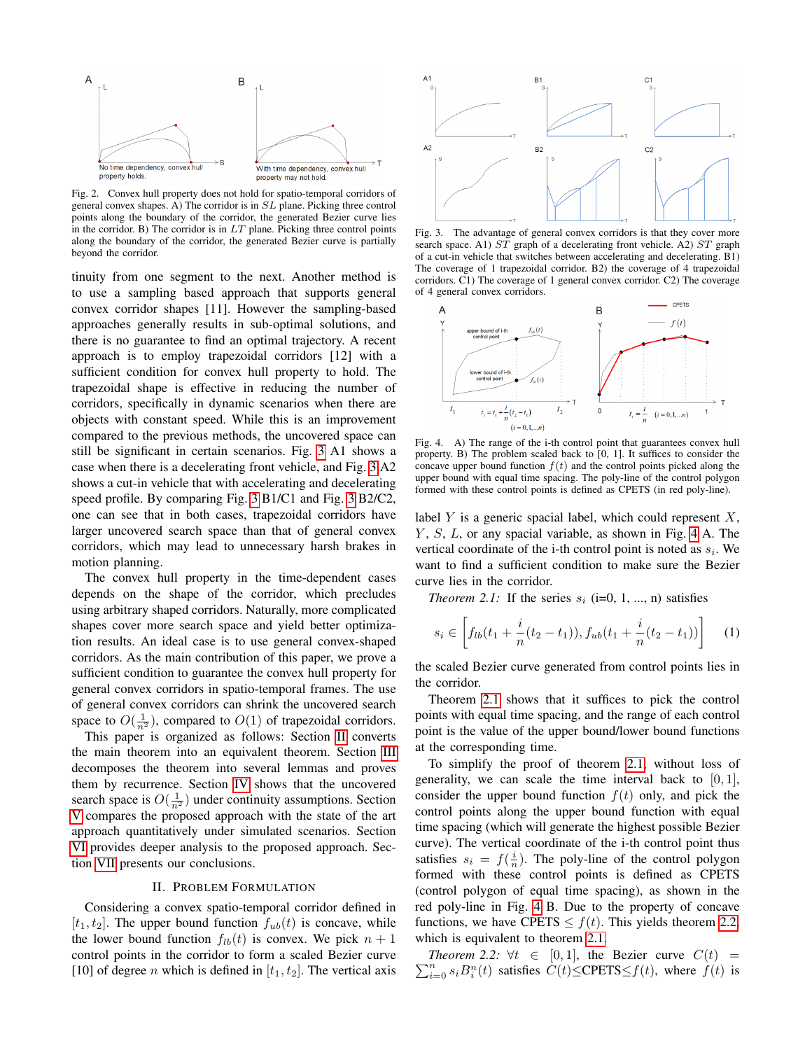

<span id="page-1-0"></span>Fig. 2. Convex hull property does not hold for spatio-temporal corridors of general convex shapes. A) The corridor is in SL plane. Picking three control points along the boundary of the corridor, the generated Bezier curve lies in the corridor. B) The corridor is in  $LT$  plane. Picking three control points along the boundary of the corridor, the generated Bezier curve is partially beyond the corridor.

tinuity from one segment to the next. Another method is to use a sampling based approach that supports general convex corridor shapes [11]. However the sampling-based approaches generally results in sub-optimal solutions, and there is no guarantee to find an optimal trajectory. A recent approach is to employ trapezoidal corridors [12] with a sufficient condition for convex hull property to hold. The trapezoidal shape is effective in reducing the number of corridors, specifically in dynamic scenarios when there are objects with constant speed. While this is an improvement compared to the previous methods, the uncovered space can still be significant in certain scenarios. Fig. [3](#page-1-1) A1 shows a case when there is a decelerating front vehicle, and Fig. [3](#page-1-1) A2 shows a cut-in vehicle that with accelerating and decelerating speed profile. By comparing Fig. [3](#page-1-1) B1/C1 and Fig. [3](#page-1-1) B2/C2, one can see that in both cases, trapezoidal corridors have larger uncovered search space than that of general convex corridors, which may lead to unnecessary harsh brakes in motion planning.

The convex hull property in the time-dependent cases depends on the shape of the corridor, which precludes using arbitrary shaped corridors. Naturally, more complicated shapes cover more search space and yield better optimization results. An ideal case is to use general convex-shaped corridors. As the main contribution of this paper, we prove a sufficient condition to guarantee the convex hull property for general convex corridors in spatio-temporal frames. The use of general convex corridors can shrink the uncovered search space to  $O(\frac{1}{n^2})$ , compared to  $O(1)$  of trapezoidal corridors.

This paper is organized as follows: Section [II](#page-1-2) converts the main theorem into an equivalent theorem. Section [III](#page-2-0) decomposes the theorem into several lemmas and proves them by recurrence. Section [IV](#page-3-0) shows that the uncovered search space is  $O(\frac{1}{n^2})$  under continuity assumptions. Section [V](#page-4-0) compares the proposed approach with the state of the art approach quantitatively under simulated scenarios. Section [VI](#page-5-0) provides deeper analysis to the proposed approach. Section [VII](#page-5-1) presents our conclusions.

#### II. PROBLEM FORMULATION

<span id="page-1-2"></span>Considering a convex spatio-temporal corridor defined in  $[t_1, t_2]$ . The upper bound function  $f_{ub}(t)$  is concave, while the lower bound function  $f_{lb}(t)$  is convex. We pick  $n + 1$ control points in the corridor to form a scaled Bezier curve [10] of degree *n* which is defined in  $[t_1, t_2]$ . The vertical axis



<span id="page-1-1"></span>Fig. 3. The advantage of general convex corridors is that they cover more search space. A1) ST graph of a decelerating front vehicle. A2) ST graph of a cut-in vehicle that switches between accelerating and decelerating. B1) The coverage of 1 trapezoidal corridor. B2) the coverage of 4 trapezoidal corridors. C1) The coverage of 1 general convex corridor. C2) The coverage of 4 general convex corridors.



<span id="page-1-3"></span>Fig. 4. A) The range of the i-th control point that guarantees convex hull property. B) The problem scaled back to [0, 1]. It suffices to consider the concave upper bound function  $f(t)$  and the control points picked along the upper bound with equal time spacing. The poly-line of the control polygon formed with these control points is defined as CPETS (in red poly-line).

label  $Y$  is a generic spacial label, which could represent  $X$ ,  $Y, S, L$ , or any spacial variable, as shown in Fig. [4](#page-1-3) A. The vertical coordinate of the i-th control point is noted as  $s_i$ . We want to find a sufficient condition to make sure the Bezier curve lies in the corridor.

*Theorem 2.1:* If the series  $s_i$  (i=0, 1, ..., n) satisfies

<span id="page-1-4"></span>
$$
s_i \in \left[ f_{lb}(t_1 + \frac{i}{n}(t_2 - t_1)), f_{ub}(t_1 + \frac{i}{n}(t_2 - t_1)) \right] \quad (1)
$$

the scaled Bezier curve generated from control points lies in the corridor.

Theorem [2.1](#page-1-4) shows that it suffices to pick the control points with equal time spacing, and the range of each control point is the value of the upper bound/lower bound functions at the corresponding time.

To simplify the proof of theorem [2.1,](#page-1-4) without loss of generality, we can scale the time interval back to  $[0, 1]$ , consider the upper bound function  $f(t)$  only, and pick the control points along the upper bound function with equal time spacing (which will generate the highest possible Bezier curve). The vertical coordinate of the i-th control point thus satisfies  $s_i = f(\frac{i}{n})$ . The poly-line of the control polygon formed with these control points is defined as CPETS (control polygon of equal time spacing), as shown in the red poly-line in Fig. [4](#page-1-3) B. Due to the property of concave functions, we have CPETS  $\leq f(t)$ . This yields theorem [2.2,](#page-1-5) which is equivalent to theorem [2.1.](#page-1-4)

<span id="page-1-5"></span> $\sum_{i=0}^{n} s_i B_i^n(t)$  satisfies  $C(t) \leq \text{CPETS} \leq f(t)$ , where  $f(t)$  is *Theorem 2.2:*  $\forall t \in [0, 1]$ , the Bezier curve  $C(t)$  =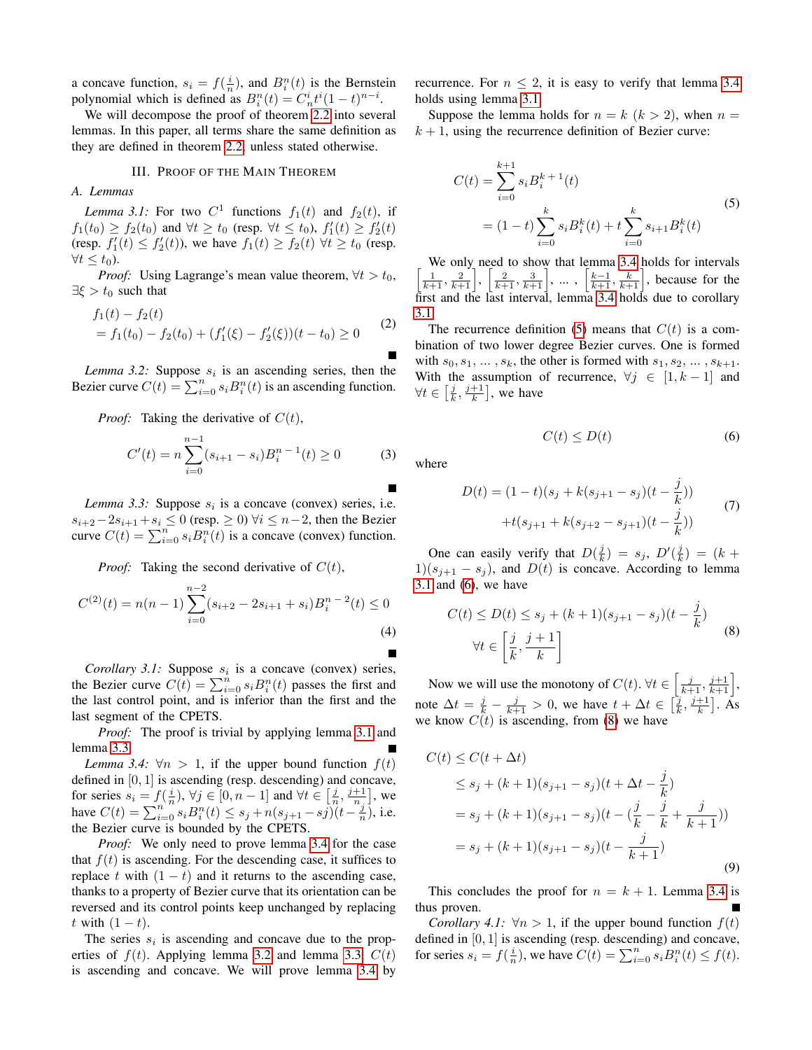a concave function,  $s_i = f(\frac{i}{n})$ , and  $B_i^n(t)$  is the Bernstein polynomial which is defined as  $B_i^n(t) = C_n^i t^i (1-t)^{n-i}$ .

We will decompose the proof of theorem [2.2](#page-1-5) into several lemmas. In this paper, all terms share the same definition as they are defined in theorem [2.2,](#page-1-5) unless stated otherwise.

# III. PROOF OF THE MAIN THEOREM

<span id="page-2-0"></span>*A. Lemmas*

<span id="page-2-1"></span>*Lemma 3.1:* For two  $C^1$  functions  $f_1(t)$  and  $f_2(t)$ , if  $f_1(t_0) \ge f_2(t_0)$  and  $\forall t \ge t_0$  (resp.  $\forall t \le t_0$ ),  $f'_1(t) \ge f'_2(t)$ (resp.  $f_1'(t) \le f_2'(t)$ ), we have  $f_1(t) \ge f_2(t) \ \forall t \ge t_0$  (resp.  $\forall t \leq t_0$ ).

*Proof:* Using Lagrange's mean value theorem,  $\forall t > t_0$ ,  $\exists \xi > t_0$  such that

$$
f_1(t) - f_2(t)
$$
  
=  $f_1(t_0) - f_2(t_0) + (f'_1(\xi) - f'_2(\xi))(t - t_0) \ge 0$  (2)

<span id="page-2-4"></span>*Lemma 3.2:* Suppose  $s_i$  is an ascending series, then the Bezier curve  $C(t) = \sum_{i=0}^{n} s_i B_i^n(t)$  is an ascending function.

*Proof:* Taking the derivative of  $C(t)$ ,

$$
C'(t) = n \sum_{i=0}^{n-1} (s_{i+1} - s_i) B_i^{n-1}(t) \ge 0
$$
 (3)

<span id="page-2-2"></span>*Lemma 3.3:* Suppose  $s_i$  is a concave (convex) series, i.e.  $s_{i+2}-2s_{i+1}+s_i \leq 0$  (resp.  $\geq 0$ )  $\forall i \leq n-2$ , then the Bezier curve  $C(t) = \sum_{i=0}^{n} s_i B_i^{n}(t)$  is a concave (convex) function.

*Proof:* Taking the second derivative of  $C(t)$ ,

$$
C^{(2)}(t) = n(n-1) \sum_{i=0}^{n-2} (s_{i+2} - 2s_{i+1} + s_i) B_i^{n-2}(t) \le 0
$$
\n(4)

<span id="page-2-5"></span>*Corollary 3.1:* Suppose  $s_i$  is a concave (convex) series, the Bezier curve  $C(t) = \sum_{i=0}^{n} s_i B_i^n(t)$  passes the first and the last control point, and is inferior than the first and the last segment of the CPETS.

*Proof:* The proof is trivial by applying lemma [3.1](#page-2-1) and lemma [3.3.](#page-2-2)

<span id="page-2-3"></span>*Lemma 3.4:*  $\forall n > 1$ , if the upper bound function  $f(t)$ defined in [0, 1] is ascending (resp. descending) and concave, for series  $s_i = f(\frac{i}{n}), \forall j \in [0, n-1]$  and  $\forall t \in [\frac{j}{n}, \frac{j+1}{n}]$ , we have  $C(t) = \sum_{i=0}^{n} s_i B_i^n(t) \leq s_j + n(s_{j+1} - s_j)(t - \frac{i}{n})$ , i.e. the Bezier curve is bounded by the CPETS.

*Proof:* We only need to prove lemma [3.4](#page-2-3) for the case that  $f(t)$  is ascending. For the descending case, it suffices to replace t with  $(1 - t)$  and it returns to the ascending case, thanks to a property of Bezier curve that its orientation can be reversed and its control points keep unchanged by replacing t with  $(1-t)$ .

The series  $s_i$  is ascending and concave due to the properties of  $f(t)$ . Applying lemma [3.2](#page-2-4) and lemma [3.3,](#page-2-2)  $C(t)$ is ascending and concave. We will prove lemma [3.4](#page-2-3) by recurrence. For  $n \leq 2$ , it is easy to verify that lemma [3.4](#page-2-3) holds using lemma [3.1.](#page-2-1)

Suppose the lemma holds for  $n = k$   $(k > 2)$ , when  $n =$  $k + 1$ , using the recurrence definition of Bezier curve:

<span id="page-2-6"></span>
$$
C(t) = \sum_{i=0}^{k+1} s_i B_i^{k+1}(t)
$$
  
=  $(1-t) \sum_{i=0}^{k} s_i B_i^{k}(t) + t \sum_{i=0}^{k} s_{i+1} B_i^{k}(t)$  (5)

We only need to show that lemma [3.4](#page-2-3) holds for intervals  $\left[\frac{1}{k+1}, \frac{2}{k+1}\right], \left[\frac{2}{k+1}, \frac{3}{k+1}\right], \dots, \left[\frac{k-1}{k+1}, \frac{k}{k+1}\right],$  because for the first and the last interval, lemma [3.4](#page-2-3) holds due to corollary [3.1.](#page-2-5)

The recurrence definition [\(5\)](#page-2-6) means that  $C(t)$  is a combination of two lower degree Bezier curves. One is formed with  $s_0, s_1, \ldots, s_k$ , the other is formed with  $s_1, s_2, \ldots, s_{k+1}$ . With the assumption of recurrence,  $\forall j \in [1, k-1]$  and  $\forall t \in \left[\frac{j}{k}, \frac{j+1}{k}\right]$ , we have

$$
C(t) \le D(t) \tag{6}
$$

<span id="page-2-10"></span><span id="page-2-7"></span>where

$$
D(t) = (1-t)(s_j + k(s_{j+1} - s_j)(t - \frac{j}{k}))
$$
  
+ $t(s_{j+1} + k(s_{j+2} - s_{j+1})(t - \frac{j}{k}))$  (7)

One can easily verify that  $D(\frac{j}{k}) = s_j$ ,  $D'(\frac{j}{k}) = (k +$  $1)(s_{i+1} - s_i)$ , and  $D(t)$  is concave. According to lemma  $3.1$  and  $(6)$ , we have

<span id="page-2-8"></span>
$$
C(t) \le D(t) \le s_j + (k+1)(s_{j+1} - s_j)(t - \frac{j}{k})
$$
  
\n
$$
\forall t \in \left[\frac{j}{k}, \frac{j+1}{k}\right]
$$
 (8)

Now we will use the monotony of  $C(t)$ .  $\forall t \in \left[\frac{j}{k+1}, \frac{j+1}{k+1}\right]$ , note  $\Delta t = \frac{j}{k} - \frac{j}{k+1} > 0$ , we have  $t + \Delta t \in \left[\frac{\overline{j}}{k}, \frac{j+1}{k}\right]$ . As we know  $C(t)$  is ascending, from [\(8\)](#page-2-8) we have

$$
C(t) \le C(t + \Delta t)
$$
  
\n
$$
\le s_j + (k+1)(s_{j+1} - s_j)(t + \Delta t - \frac{j}{k})
$$
  
\n
$$
= s_j + (k+1)(s_{j+1} - s_j)(t - (\frac{j}{k} - \frac{j}{k} + \frac{j}{k+1}))
$$
  
\n
$$
= s_j + (k+1)(s_{j+1} - s_j)(t - \frac{j}{k+1})
$$
\n(9)

This concludes the proof for  $n = k + 1$ . Lemma [3.4](#page-2-3) is thus proven.

<span id="page-2-9"></span>*Corollary 4.1:*  $\forall n > 1$ , if the upper bound function  $f(t)$ defined in  $[0, 1]$  is ascending (resp. descending) and concave, for series  $s_i = f(\frac{i}{n})$ , we have  $C(t) = \sum_{i=0}^{n} s_i B_i^n(t) \le f(t)$ .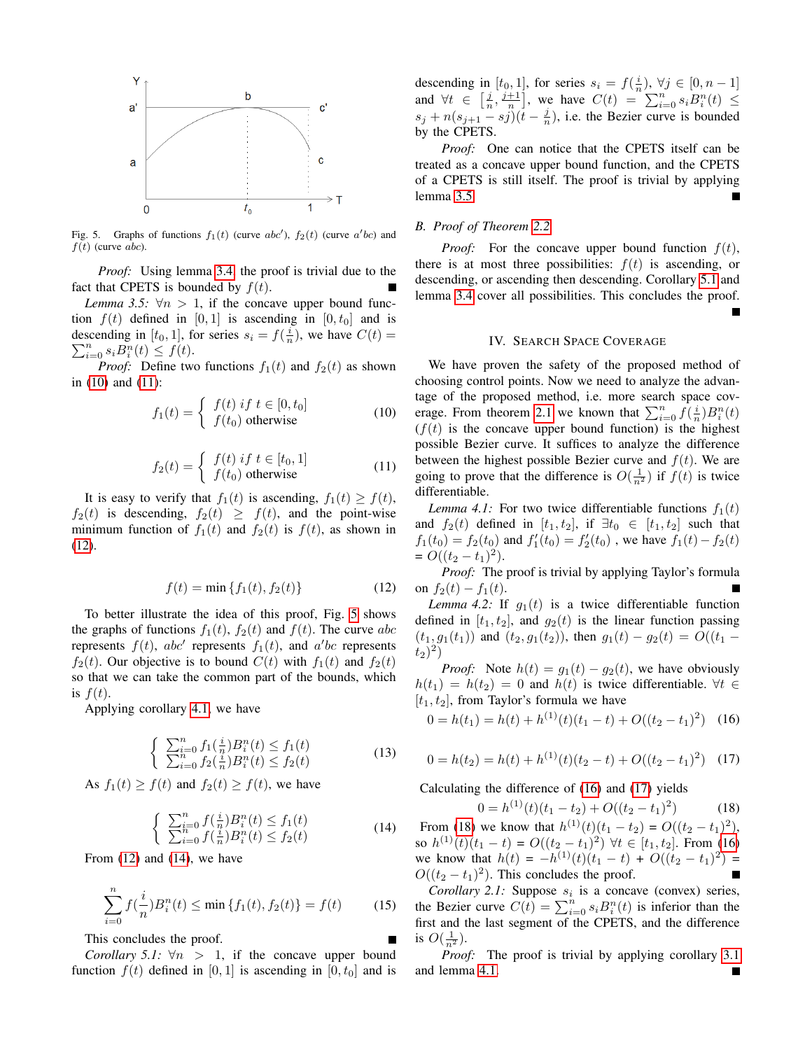

<span id="page-3-4"></span>Fig. 5. Graphs of functions  $f_1(t)$  (curve abc'),  $f_2(t)$  (curve a'bc) and  $f(t)$  (curve abc).

*Proof:* Using lemma [3.4,](#page-2-3) the proof is trivial due to the fact that CPETS is bounded by  $f(t)$ .

<span id="page-3-6"></span>*Lemma 3.5:*  $\forall n > 1$ , if the concave upper bound function  $f(t)$  defined in [0, 1] is ascending in [0,  $t_0$ ] and is descending in  $[t_0, 1]$ , for series  $s_i = f(\frac{i}{n})$ , we have  $C(t) =$ describing in [*i*<sub>0</sub>, 1<sub>]</sub>, for series  $s_i = f_{n_i}$ <br> $\sum_{i=0}^{n} s_i B_i^n(t) \leq f(t)$ .

<span id="page-3-1"></span>*Proof:* Define two functions  $f_1(t)$  and  $f_2(t)$  as shown in [\(10\)](#page-3-1) and [\(11\)](#page-3-2):

$$
f_1(t) = \begin{cases} f(t) \text{ if } t \in [0, t_0] \\ f(t_0) \text{ otherwise} \end{cases}
$$
 (10)

$$
f_2(t) = \begin{cases} f(t) \text{ if } t \in [t_0, 1] \\ f(t_0) \text{ otherwise} \end{cases}
$$
 (11)

<span id="page-3-2"></span>It is easy to verify that  $f_1(t)$  is ascending,  $f_1(t) \geq f(t)$ ,  $f_2(t)$  is descending,  $f_2(t) \geq f(t)$ , and the point-wise minimum function of  $f_1(t)$  and  $f_2(t)$  is  $f(t)$ , as shown in [\(12\)](#page-3-3).

$$
f(t) = \min \{f_1(t), f_2(t)\}\tag{12}
$$

<span id="page-3-3"></span>To better illustrate the idea of this proof, Fig. [5](#page-3-4) shows the graphs of functions  $f_1(t)$ ,  $f_2(t)$  and  $f(t)$ . The curve abc represents  $f(t)$ , abc' represents  $f_1(t)$ , and a'bc represents  $f_2(t)$ . Our objective is to bound  $C(t)$  with  $f_1(t)$  and  $f_2(t)$ so that we can take the common part of the bounds, which is  $f(t)$ .

Applying corollary [4.1,](#page-2-9) we have

$$
\begin{cases} \sum_{i=0}^{n} f_1(\frac{i}{n}) B_i^n(t) \le f_1(t) \\ \sum_{i=0}^{n} f_2(\frac{i}{n}) B_i^n(t) \le f_2(t) \end{cases}
$$
 (13)

As  $f_1(t) \ge f(t)$  and  $f_2(t) \ge f(t)$ , we have

$$
\begin{cases} \sum_{i=0}^{n} f(\frac{i}{n}) B_i^n(t) \le f_1(t) \\ \sum_{i=0}^{n} f(\frac{i}{n}) B_i^n(t) \le f_2(t) \end{cases}
$$
 (14)

<span id="page-3-5"></span>From  $(12)$  and  $(14)$ , we have

$$
\sum_{i=0}^{n} f(\frac{i}{n}) B_i^n(t) \le \min \{ f_1(t), f_2(t) \} = f(t) \tag{15}
$$

This concludes the proof.

<span id="page-3-7"></span>*Corollary 5.1:*  $\forall n > 1$ , if the concave upper bound function  $f(t)$  defined in [0, 1] is ascending in [0,  $t_0$ ] and is

descending in  $[t_0, 1]$ , for series  $s_i = f(\frac{i}{n}), \forall j \in [0, n-1]$ and  $\forall t \in \left[\frac{j}{n}, \frac{j+1}{n}\right]$ , we have  $C(t) = \sum_{i=0}^{n} s_i B_i^n(t) \leq$  $s_j + n(s_{j+1} - s_j)(t - \frac{j}{n})$ , i.e. the Bezier curve is bounded by the CPETS.

*Proof:* One can notice that the CPETS itself can be treated as a concave upper bound function, and the CPETS of a CPETS is still itself. The proof is trivial by applying lemma [3.5.](#page-3-6) П

# *B. Proof of Theorem [2.2](#page-1-5)*

*Proof:* For the concave upper bound function  $f(t)$ , there is at most three possibilities:  $f(t)$  is ascending, or descending, or ascending then descending. Corollary [5.1](#page-3-7) and lemma [3.4](#page-2-3) cover all possibilities. This concludes the proof.

#### IV. SEARCH SPACE COVERAGE

<span id="page-3-0"></span>We have proven the safety of the proposed method of choosing control points. Now we need to analyze the advantage of the proposed method, i.e. more search space cov-erage. From theorem [2.1](#page-1-4) we known that  $\sum_{i=0}^{n} \hat{f}(\frac{i}{n}) B_i^n(t)$  $(f(t))$  is the concave upper bound function) is the highest possible Bezier curve. It suffices to analyze the difference between the highest possible Bezier curve and  $f(t)$ . We are going to prove that the difference is  $O(\frac{1}{n^2})$  if  $f(t)$  is twice differentiable.

<span id="page-3-11"></span>*Lemma 4.1:* For two twice differentiable functions  $f_1(t)$ and  $f_2(t)$  defined in  $[t_1, t_2]$ , if  $\exists t_0 \in [t_1, t_2]$  such that  $f_1(t_0) = f_2(t_0)$  and  $f_1'(t_0) = f_2'(t_0)$ , we have  $f_1(t) - f_2(t)$  $= O((t_2 - t_1)^2).$ 

*Proof:* The proof is trivial by applying Taylor's formula on  $f_2(t) - f_1(t)$ .

<span id="page-3-12"></span>*Lemma 4.2:* If  $g_1(t)$  is a twice differentiable function defined in  $[t_1, t_2]$ , and  $q_2(t)$  is the linear function passing  $(t_1, g_1(t_1))$  and  $(t_2, g_1(t_2))$ , then  $g_1(t) - g_2(t) = O((t_1 (t_2)^2)$ 

*Proof:* Note  $h(t) = g_1(t) - g_2(t)$ , we have obviously  $h(t_1) = h(t_2) = 0$  and  $h(t)$  is twice differentiable.  $\forall t \in$  $[t_1, t_2]$ , from Taylor's formula we have

<span id="page-3-8"></span>
$$
0 = h(t_1) = h(t) + h^{(1)}(t)(t_1 - t) + O((t_2 - t_1)^2)
$$
 (16)

<span id="page-3-9"></span>
$$
0 = h(t_2) = h(t) + h^{(1)}(t)(t_2 - t) + O((t_2 - t_1)^2)
$$
 (17)

Calculating the difference of [\(16\)](#page-3-8) and [\(17\)](#page-3-9) yields

<span id="page-3-10"></span> $0 = h^{(1)}(t)(t_1 - t_2) + O((t_2 - t_1)^2)$ ) (18) From [\(18\)](#page-3-10) we know that  $h^{(1)}(t)(t_1 - t_2) = O((t_2 - t_1)^2)$ , so  $h^{(1)}(t)(t_1-t) = O((t_2-t_1)^2)$   $\forall t \in [t_1, t_2]$ . From [\(16\)](#page-3-8) we know that  $h(t) = -h^{(1)}(t)(t_1 - t) + O((t_2 - t_1)^2) =$  $O((t_2 - t_1)^2)$ . This concludes the proof.

<span id="page-3-14"></span>*Corollary 2.1:* Suppose  $s_i$  is a concave (convex) series, the Bezier curve  $C(t) = \sum_{i=0}^{n} s_i B_i^n(t)$  is inferior than the first and the last segment of the CPETS, and the difference is  $O(\frac{1}{n^2})$ .

<span id="page-3-13"></span>*Proof:* The proof is trivial by applying corollary [3.1](#page-2-5) and lemma [4.1.](#page-3-11)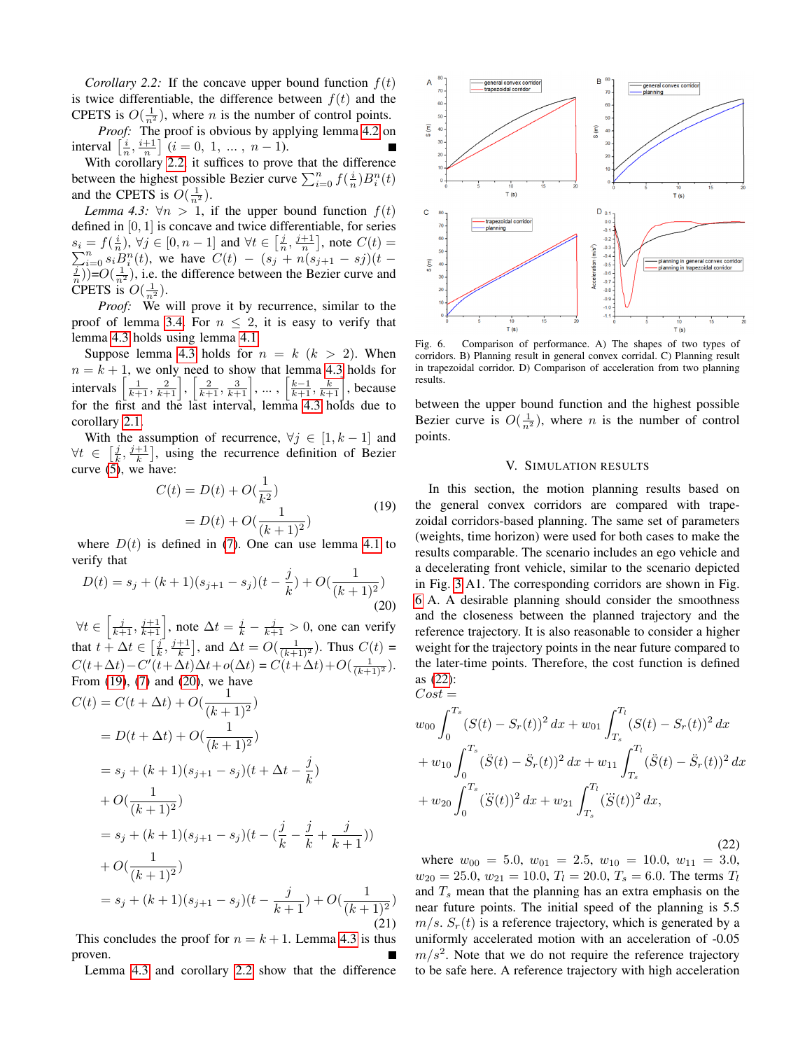*Corollary 2.2:* If the concave upper bound function  $f(t)$ is twice differentiable, the difference between  $f(t)$  and the CPETS is  $O(\frac{1}{n^2})$ , where *n* is the number of control points.

*Proof:* The proof is obvious by applying lemma [4.2](#page-3-12) on interval  $\left[\frac{i}{n}, \frac{i+1}{n}\right]$   $(i = 0, 1, ..., n-1)$ .

With corollary [2.2,](#page-3-13) it suffices to prove that the difference between the highest possible Bezier curve  $\sum_{i=0}^{n} f(\frac{i}{n})B_i^n(t)$ and the CPETS is  $O(\frac{1}{n^2})$ .

<span id="page-4-1"></span>*Lemma 4.3:*  $\forall n > 1$ , if the upper bound function  $f(t)$ defined in [0, 1] is concave and twice differentiable, for series  $s_i = f(\frac{i}{n}), \forall j \in [0, n-1]$  and  $\forall t \in [\frac{j}{n}, \frac{j+1}{n}],$  note  $C(t) =$  $\sum_{i=0}^{n} s_i B_i^n(t)$ , we have  $C(t) - (s_j + n(s_{j+1} - s_j)(t - \frac{1}{n}))=O(\frac{1}{n^2})$ , i.e. the difference between the Bezier curve and CPETS is  $O(\frac{1}{n^2})$ .

*Proof:* We will prove it by recurrence, similar to the proof of lemma [3.4.](#page-2-3) For  $n \leq 2$ , it is easy to verify that lemma [4.3](#page-4-1) holds using lemma [4.1.](#page-3-11)

Suppose lemma [4.3](#page-4-1) holds for  $n = k$  ( $k > 2$ ). When  $n = k + 1$ , we only need to show that lemma [4.3](#page-4-1) holds for intervals  $\left[\frac{1}{k+1}, \frac{2}{k+1}\right], \left[\frac{2}{k+1}, \frac{3}{k+1}\right], \dots, \left[\frac{k-1}{k+1}, \frac{k}{k+1}\right]$ , because for the first and the last interval, lemma [4.3](#page-4-1) holds due to corollary [2.1.](#page-3-14)

With the assumption of recurrence,  $\forall j \in [1, k-1]$  and  $\forall t \in \left[\frac{j}{k}, \frac{j+1}{k}\right]$ , using the recurrence definition of Bezier curve [\(5\)](#page-2-6), we have:

$$
C(t) = D(t) + O(\frac{1}{k^2})
$$
  
=  $D(t) + O(\frac{1}{(k+1)^2})$  (19)

<span id="page-4-2"></span>where  $D(t)$  is defined in [\(7\)](#page-2-10). One can use lemma [4.1](#page-3-11) to verify that

<span id="page-4-3"></span>
$$
D(t) = s_j + (k+1)(s_{j+1} - s_j)(t - \frac{j}{k}) + O(\frac{1}{(k+1)^2})
$$
\n(20)

 $\forall t \in \left[\frac{j}{k+1}, \frac{j+1}{k+1}\right]$ , note  $\Delta t = \frac{j}{k} - \frac{j}{k+1} > 0$ , one can verify that  $t + \Delta t \in \left[\frac{j}{k}, \frac{j+1}{k}\right]$ , and  $\Delta t = O(\frac{1}{(k+1)^2})$ . Thus  $C(t)$  =  $C(t+\Delta t) - C'(t+\Delta t) \Delta t + o(\Delta t) = C(t+\Delta t) + O(\frac{1}{(k+1)^2}).$ From [\(19\)](#page-4-2), [\(7\)](#page-2-10) and [\(20\)](#page-4-3), we have

$$
C(t) = C(t + \Delta t) + O(\frac{1}{(k+1)^2})
$$
  
=  $D(t + \Delta t) + O(\frac{1}{(k+1)^2})$   
=  $s_j + (k+1)(s_{j+1} - s_j)(t + \Delta t - \frac{j}{k})$   
+  $O(\frac{1}{(k+1)^2})$   
=  $s_j + (k+1)(s_{j+1} - s_j)(t - (\frac{j}{k} - \frac{j}{k} + \frac{j}{k+1}))$   
+  $O(\frac{1}{(k+1)^2})$   
=  $s_j + (k+1)(s_{j+1} - s_j)(t - \frac{j}{k+1}) + O(\frac{1}{(k+1)^2})$  (21)

This concludes the proof for  $n = k + 1$ . Lemma [4.3](#page-4-1) is thus proven.

Lemma [4.3](#page-4-1) and corollary [2.2](#page-3-13) show that the difference



<span id="page-4-4"></span>Fig. 6. Comparison of performance. A) The shapes of two types of corridors. B) Planning result in general convex corridal. C) Planning result in trapezoidal corridor. D) Comparison of acceleration from two planning results.

between the upper bound function and the highest possible Bezier curve is  $O(\frac{1}{n^2})$ , where *n* is the number of control points.

# V. SIMULATION RESULTS

<span id="page-4-0"></span>In this section, the motion planning results based on the general convex corridors are compared with trapezoidal corridors-based planning. The same set of parameters (weights, time horizon) were used for both cases to make the results comparable. The scenario includes an ego vehicle and a decelerating front vehicle, similar to the scenario depicted in Fig. [3](#page-1-1) A1. The corresponding corridors are shown in Fig. [6](#page-4-4) A. A desirable planning should consider the smoothness and the closeness between the planned trajectory and the reference trajectory. It is also reasonable to consider a higher weight for the trajectory points in the near future compared to the later-time points. Therefore, the cost function is defined as [\(22\)](#page-4-5):

<span id="page-4-5"></span>
$$
Cost =
$$
  
\n
$$
w_{00} \int_{0}^{T_s} (S(t) - S_r(t))^2 dx + w_{01} \int_{T_s}^{T_l} (S(t) - S_r(t))^2 dx
$$
  
\n
$$
+ w_{10} \int_{0}^{T_s} (\ddot{S}(t) - \ddot{S}_r(t))^2 dx + w_{11} \int_{T_s}^{T_l} (\ddot{S}(t) - \ddot{S}_r(t))^2 dx
$$
  
\n
$$
+ w_{20} \int_{0}^{T_s} (\ddot{S}(t))^2 dx + w_{21} \int_{T_s}^{T_l} (\ddot{S}(t))^2 dx,
$$

(22)

where  $w_{00} = 5.0$ ,  $w_{01} = 2.5$ ,  $w_{10} = 10.0$ ,  $w_{11} = 3.0$ ,  $w_{20} = 25.0, w_{21} = 10.0, T_l = 20.0, T_s = 6.0$ . The terms  $T_l$ and  $T_s$  mean that the planning has an extra emphasis on the near future points. The initial speed of the planning is 5.5  $m/s$ .  $S_r(t)$  is a reference trajectory, which is generated by a uniformly accelerated motion with an acceleration of -0.05  $m/s<sup>2</sup>$ . Note that we do not require the reference trajectory to be safe here. A reference trajectory with high acceleration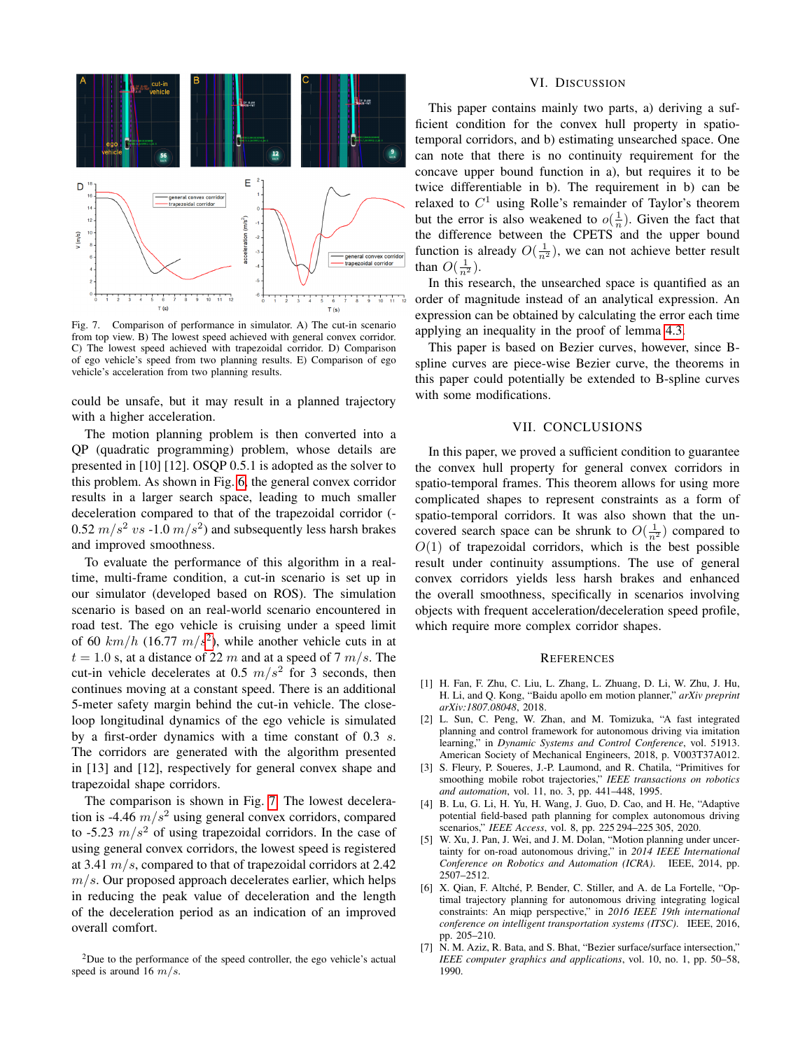

<span id="page-5-3"></span>Fig. 7. Comparison of performance in simulator. A) The cut-in scenario from top view. B) The lowest speed achieved with general convex corridor. C) The lowest speed achieved with trapezoidal corridor. D) Comparison of ego vehicle's speed from two planning results. E) Comparison of ego vehicle's acceleration from two planning results.

could be unsafe, but it may result in a planned trajectory with a higher acceleration.

The motion planning problem is then converted into a QP (quadratic programming) problem, whose details are presented in [10] [12]. OSQP 0.5.1 is adopted as the solver to this problem. As shown in Fig. [6,](#page-4-4) the general convex corridor results in a larger search space, leading to much smaller deceleration compared to that of the trapezoidal corridor (- 0.52  $m/s^2$  vs -1.0  $m/s^2$ ) and subsequently less harsh brakes and improved smoothness.

To evaluate the performance of this algorithm in a realtime, multi-frame condition, a cut-in scenario is set up in our simulator (developed based on ROS). The simulation scenario is based on an real-world scenario encountered in road test. The ego vehicle is cruising under a speed limit of 60  $km/h$  (16.77  $m/s^2$  $m/s^2$ ), while another vehicle cuts in at  $t = 1.0$  s, at a distance of 22 m and at a speed of 7 m/s. The cut-in vehicle decelerates at 0.5  $m/s^2$  for 3 seconds, then continues moving at a constant speed. There is an additional 5-meter safety margin behind the cut-in vehicle. The closeloop longitudinal dynamics of the ego vehicle is simulated by a first-order dynamics with a time constant of 0.3 s. The corridors are generated with the algorithm presented in [13] and [12], respectively for general convex shape and trapezoidal shape corridors.

The comparison is shown in Fig. [7.](#page-5-3) The lowest deceleration is -4.46  $m/s^2$  using general convex corridors, compared to -5.23  $m/s^2$  of using trapezoidal corridors. In the case of using general convex corridors, the lowest speed is registered at 3.41  $m/s$ , compared to that of trapezoidal corridors at 2.42  $m/s$ . Our proposed approach decelerates earlier, which helps in reducing the peak value of deceleration and the length of the deceleration period as an indication of an improved overall comfort.

#### VI. DISCUSSION

<span id="page-5-0"></span>This paper contains mainly two parts, a) deriving a sufficient condition for the convex hull property in spatiotemporal corridors, and b) estimating unsearched space. One can note that there is no continuity requirement for the concave upper bound function in a), but requires it to be twice differentiable in b). The requirement in b) can be relaxed to  $C^1$  using Rolle's remainder of Taylor's theorem but the error is also weakened to  $o(\frac{1}{n})$ . Given the fact that the difference between the CPETS and the upper bound function is already  $O(\frac{1}{n^2})$ , we can not achieve better result than  $O(\frac{1}{n^2})$ .

In this research, the unsearched space is quantified as an order of magnitude instead of an analytical expression. An expression can be obtained by calculating the error each time applying an inequality in the proof of lemma [4.3.](#page-4-1)

This paper is based on Bezier curves, however, since Bspline curves are piece-wise Bezier curve, the theorems in this paper could potentially be extended to B-spline curves with some modifications.

## VII. CONCLUSIONS

<span id="page-5-1"></span>In this paper, we proved a sufficient condition to guarantee the convex hull property for general convex corridors in spatio-temporal frames. This theorem allows for using more complicated shapes to represent constraints as a form of spatio-temporal corridors. It was also shown that the uncovered search space can be shrunk to  $O(\frac{1}{n^2})$  compared to  $O(1)$  of trapezoidal corridors, which is the best possible result under continuity assumptions. The use of general convex corridors yields less harsh brakes and enhanced the overall smoothness, specifically in scenarios involving objects with frequent acceleration/deceleration speed profile, which require more complex corridor shapes.

## **REFERENCES**

- [1] H. Fan, F. Zhu, C. Liu, L. Zhang, L. Zhuang, D. Li, W. Zhu, J. Hu, H. Li, and Q. Kong, "Baidu apollo em motion planner," *arXiv preprint arXiv:1807.08048*, 2018.
- [2] L. Sun, C. Peng, W. Zhan, and M. Tomizuka, "A fast integrated planning and control framework for autonomous driving via imitation learning," in *Dynamic Systems and Control Conference*, vol. 51913. American Society of Mechanical Engineers, 2018, p. V003T37A012.
- [3] S. Fleury, P. Soueres, J.-P. Laumond, and R. Chatila, "Primitives for smoothing mobile robot trajectories," *IEEE transactions on robotics and automation*, vol. 11, no. 3, pp. 441–448, 1995.
- [4] B. Lu, G. Li, H. Yu, H. Wang, J. Guo, D. Cao, and H. He, "Adaptive potential field-based path planning for complex autonomous driving scenarios," *IEEE Access*, vol. 8, pp. 225 294–225 305, 2020.
- [5] W. Xu, J. Pan, J. Wei, and J. M. Dolan, "Motion planning under uncertainty for on-road autonomous driving," in *2014 IEEE International Conference on Robotics and Automation (ICRA)*. IEEE, 2014, pp. 2507–2512.
- [6] X. Qian, F. Altché, P. Bender, C. Stiller, and A. de La Fortelle, "Optimal trajectory planning for autonomous driving integrating logical constraints: An miqp perspective," in *2016 IEEE 19th international conference on intelligent transportation systems (ITSC)*. IEEE, 2016, pp. 205–210.
- [7] N. M. Aziz, R. Bata, and S. Bhat, "Bezier surface/surface intersection," *IEEE computer graphics and applications*, vol. 10, no. 1, pp. 50–58, 1990.

<span id="page-5-2"></span><sup>2</sup>Due to the performance of the speed controller, the ego vehicle's actual speed is around 16  $m/s$ .